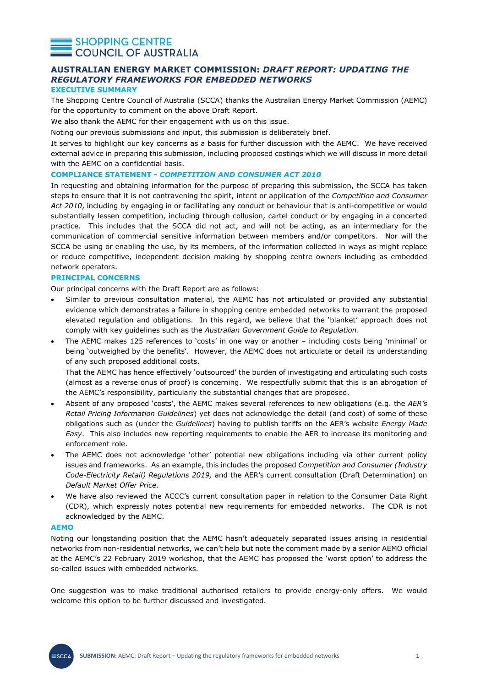

# **AUSTRALIAN ENERGY MARKET COMMISSION:** *DRAFT REPORT: UPDATING THE REGULATORY FRAMEWORKS FOR EMBEDDED NETWORKS* **EXECUTIVE SUMMARY**

The Shopping Centre Council of Australia (SCCA) thanks the Australian Energy Market Commission (AEMC) for the opportunity to comment on the above Draft Report.

We also thank the AEMC for their engagement with us on this issue.

Noting our previous submissions and input, this submission is deliberately brief.

It serves to highlight our key concerns as a basis for further discussion with the AEMC. We have received external advice in preparing this submission, including proposed costings which we will discuss in more detail with the AEMC on a confidential basis.

# **COMPLIANCE STATEMENT -** *COMPETITION AND CONSUMER ACT 2010*

In requesting and obtaining information for the purpose of preparing this submission, the SCCA has taken steps to ensure that it is not contravening the spirit, intent or application of the *Competition and Consumer Act 2010*, including by engaging in or facilitating any conduct or behaviour that is anti-competitive or would substantially lessen competition, including through collusion, cartel conduct or by engaging in a concerted practice. This includes that the SCCA did not act, and will not be acting, as an intermediary for the communication of commercial sensitive information between members and/or competitors. Nor will the SCCA be using or enabling the use, by its members, of the information collected in ways as might replace or reduce competitive, independent decision making by shopping centre owners including as embedded network operators.

## **PRINCIPAL CONCERNS**

Our principal concerns with the Draft Report are as follows:

- Similar to previous consultation material, the AEMC has not articulated or provided any substantial evidence which demonstrates a failure in shopping centre embedded networks to warrant the proposed elevated regulation and obligations. In this regard, we believe that the 'blanket' approach does not comply with key guidelines such as the *Australian Government Guide to Regulation*.
- The AEMC makes 125 references to 'costs' in one way or another including costs being 'minimal' or being 'outweighed by the benefits'. However, the AEMC does not articulate or detail its understanding of any such proposed additional costs.

That the AEMC has hence effectively 'outsourced' the burden of investigating and articulating such costs (almost as a reverse onus of proof) is concerning. We respectfully submit that this is an abrogation of the AEMC's responsibility, particularly the substantial changes that are proposed.

- Absent of any proposed 'costs', the AEMC makes several references to new obligations (e.g. the *AER's Retail Pricing Information Guidelines*) yet does not acknowledge the detail (and cost) of some of these obligations such as (under the *Guidelines*) having to publish tariffs on the AER's website *Energy Made Easy*. This also includes new reporting requirements to enable the AER to increase its monitoring and enforcement role.
- The AEMC does not acknowledge 'other' potential new obligations including via other current policy issues and frameworks. As an example, this includes the proposed *Competition and Consumer (Industry Code-Electricity Retail) Regulations 2019,* and the AER's current consultation (Draft Determination) on *Default Market Offer Price*.
- We have also reviewed the ACCC's current consultation paper in relation to the Consumer Data Right (CDR), which expressly notes potential new requirements for embedded networks. The CDR is not acknowledged by the AEMC.

#### **AEMO**

Noting our longstanding position that the AEMC hasn't adequately separated issues arising in residential networks from non-residential networks, we can't help but note the comment made by a senior AEMO official at the AEMC's 22 February 2019 workshop, that the AEMC has proposed the 'worst option' to address the so-called issues with embedded networks.

One suggestion was to make traditional authorised retailers to provide energy-only offers. We would welcome this option to be further discussed and investigated.